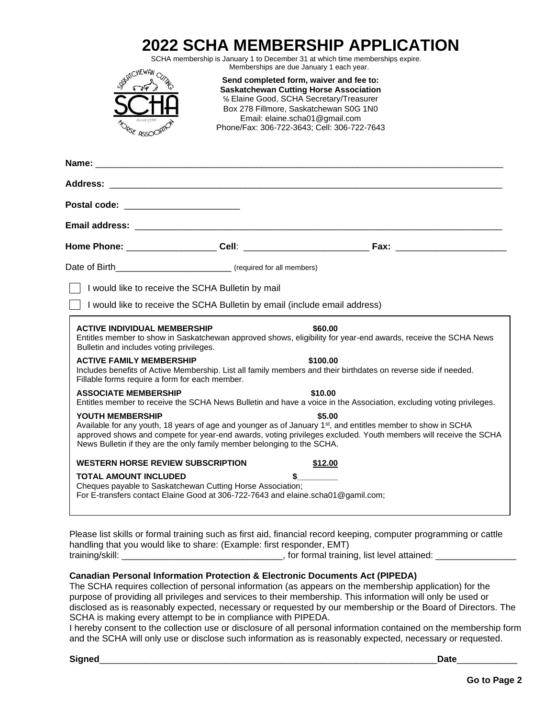| RSE ASSOC                                                                         |                                                                                                                                                | Memberships are due January 1 each year.<br>Send completed form, waiver and fee to:<br><b>Saskatchewan Cutting Horse Association</b><br>% Elaine Good, SCHA Secretary/Treasurer<br>Box 278 Fillmore, Saskatchewan S0G 1N0<br>Email: elaine.scha01@gmail.com<br>Phone/Fax: 306-722-3643; Cell: 306-722-7643 |  |  |  |
|-----------------------------------------------------------------------------------|------------------------------------------------------------------------------------------------------------------------------------------------|------------------------------------------------------------------------------------------------------------------------------------------------------------------------------------------------------------------------------------------------------------------------------------------------------------|--|--|--|
|                                                                                   |                                                                                                                                                |                                                                                                                                                                                                                                                                                                            |  |  |  |
|                                                                                   |                                                                                                                                                |                                                                                                                                                                                                                                                                                                            |  |  |  |
| Postal code: ________________________                                             |                                                                                                                                                |                                                                                                                                                                                                                                                                                                            |  |  |  |
|                                                                                   |                                                                                                                                                |                                                                                                                                                                                                                                                                                                            |  |  |  |
|                                                                                   |                                                                                                                                                |                                                                                                                                                                                                                                                                                                            |  |  |  |
|                                                                                   |                                                                                                                                                |                                                                                                                                                                                                                                                                                                            |  |  |  |
|                                                                                   | I would like to receive the SCHA Bulletin by mail                                                                                              |                                                                                                                                                                                                                                                                                                            |  |  |  |
|                                                                                   | I would like to receive the SCHA Bulletin by email (include email address)                                                                     |                                                                                                                                                                                                                                                                                                            |  |  |  |
| <b>ACTIVE INDIVIDUAL MEMBERSHIP</b><br>Bulletin and includes voting privileges.   |                                                                                                                                                | \$60.00<br>Entitles member to show in Saskatchewan approved shows, eligibility for year-end awards, receive the SCHA News                                                                                                                                                                                  |  |  |  |
| <b>ACTIVE FAMILY MEMBERSHIP</b><br>Fillable forms require a form for each member. |                                                                                                                                                | \$100.00<br>Includes benefits of Active Membership. List all family members and their birthdates on reverse side if needed.                                                                                                                                                                                |  |  |  |
| <b>ASSOCIATE MEMBERSHIP</b>                                                       |                                                                                                                                                | \$10.00<br>Entitles member to receive the SCHA News Bulletin and have a voice in the Association, excluding voting privileges.                                                                                                                                                                             |  |  |  |
| <b>YOUTH MEMBERSHIP</b>                                                           | News Bulletin if they are the only family member belonging to the SCHA.                                                                        | \$5.00<br>Available for any youth, 18 years of age and younger as of January 1 <sup>st</sup> , and entitles member to show in SCHA<br>approved shows and compete for year-end awards, voting privileges excluded. Youth members will receive the SCHA                                                      |  |  |  |
| <b>WESTERN HORSE REVIEW SUBSCRIPTION</b>                                          |                                                                                                                                                | \$12.00                                                                                                                                                                                                                                                                                                    |  |  |  |
| <b>TOTAL AMOUNT INCLUDED</b>                                                      | Cheques payable to Saskatchewan Cutting Horse Association;<br>For E-transfers contact Elaine Good at 306-722-7643 and elaine.scha01@gamil.com; |                                                                                                                                                                                                                                                                                                            |  |  |  |

**2022 SCHA MEMBERSHIP APPLICATION**

Please list skills or formal training such as first aid, financial record keeping, computer programming or cattle handling that you would like to share: (Example: first responder, EMT) training/skill: \_\_\_\_\_\_\_\_\_\_\_\_\_\_\_\_\_\_\_\_\_\_\_\_\_\_\_\_\_\_\_\_, for formal training, list level attained: \_\_\_\_\_\_\_\_\_\_\_\_\_\_\_\_

## **Canadian Personal Information Protection & Electronic Documents Act (PIPEDA)**

The SCHA requires collection of personal information (as appears on the membership application) for the purpose of providing all privileges and services to their membership. This information will only be used or disclosed as is reasonably expected, necessary or requested by our membership or the Board of Directors. The SCHA is making every attempt to be in compliance with PIPEDA.

I hereby consent to the collection use or disclosure of all personal information contained on the membership form and the SCHA will only use or disclose such information as is reasonably expected, necessary or requested.